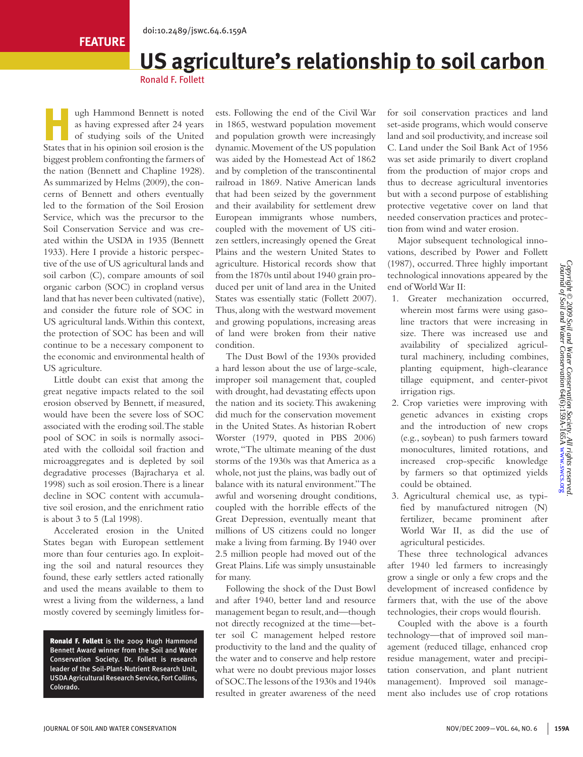# **US agriculture's relationship to soil carbon**

Ronald F. Follett

ugh Hammond Bennett is noted<br>as having expressed after 24 years<br>of studying soils of the United as having expressed after 24 years of studying soils of the United States that in his opinion soil erosion is the biggest problem confronting the farmers of the nation (Bennett and Chapline 1928). As summarized by Helms (2009), the concerns of Bennett and others eventually led to the formation of the Soil Erosion Service, which was the precursor to the Soil Conservation Service and was created within the USDA in 1935 (Bennett 1933). Here I provide a historic perspective of the use of US agricultural lands and soil carbon (C), compare amounts of soil organic carbon (SOC) in cropland versus land that has never been cultivated (native), and consider the future role of SOC in US agricultural lands. Within this context, the protection of SOC has been and will continue to be a necessary component to the economic and environmental health of US agriculture.

Little doubt can exist that among the great negative impacts related to the soil erosion observed by Bennett, if measured, would have been the severe loss of SOC associated with the eroding soil. The stable pool of SOC in soils is normally associated with the colloidal soil fraction and microaggregates and is depleted by soil degradative processes (Bajracharya et al. 1998) such as soil erosion. There is a linear decline in SOC content with accumulative soil erosion, and the enrichment ratio is about 3 to 5 (Lal 1998).

Accelerated erosion in the United States began with European settlement more than four centuries ago. In exploiting the soil and natural resources they found, these early settlers acted rationally and used the means available to them to wrest a living from the wilderness, a land mostly covered by seemingly limitless for-

Ronald F. Follett is the 2009 Hugh Hammond Bennett Award winner from the Soil and Water Conservation Society. Dr. Follett is research leader of the Soil-Plant-Nutrient Research Unit, USDA Agricultural Research Service, Fort Collins, Colorado.

ests. Following the end of the Civil War in 1865, westward population movement and population growth were increasingly dynamic. Movement of the US population was aided by the Homestead Act of 1862 and by completion of the transcontinental railroad in 1869. Native American lands that had been seized by the government and their availability for settlement drew European immigrants whose numbers, coupled with the movement of US citizen settlers, increasingly opened the Great Plains and the western United States to agriculture. Historical records show that from the 1870s until about 1940 grain produced per unit of land area in the United States was essentially static (Follett 2007). Thus, along with the westward movement and growing populations, increasing areas of land were broken from their native condition.

The Dust Bowl of the 1930s provided a hard lesson about the use of large-scale, improper soil management that, coupled with drought, had devastating effects upon the nation and its society. This awakening did much for the conservation movement in the United States. As historian Robert Worster (1979, quoted in PBS 2006) wrote, "The ultimate meaning of the dust storms of the 1930s was that America as a whole, not just the plains, was badly out of balance with its natural environment." The awful and worsening drought conditions, coupled with the horrible effects of the Great Depression, eventually meant that millions of US citizens could no longer make a living from farming. By 1940 over 2.5 million people had moved out of the Great Plains. Life was simply unsustainable for many.

Following the shock of the Dust Bowl and after 1940, better land and resource management began to result, and—though not directly recognized at the time—better soil C management helped restore productivity to the land and the quality of the water and to conserve and help restore what were no doubt previous major losses of SOC. The lessons of the 1930s and 1940s resulted in greater awareness of the need

for soil conservation practices and land set-aside programs, which would conserve land and soil productivity, and increase soil C. Land under the Soil Bank Act of 1956 was set aside primarily to divert cropland from the production of major crops and thus to decrease agricultural inventories but with a second purpose of establishing protective vegetative cover on land that needed conservation practices and protection from wind and water erosion.

Major subsequent technological innovations, described by Power and Follett (1987), occurred. Three highly important technological innovations appeared by the end of World War II:

- 1. Greater mechanization occurred, wherein most farms were using gasoline tractors that were increasing in size. There was increased use and availability of specialized agricultural machinery, including combines, planting equipment, high-clearance tillage equipment, and center-pivot irrigation rigs.
- 2. Crop varieties were improving with genetic advances in existing crops and the introduction of new crops (e.g., soybean) to push farmers toward monocultures, limited rotations, and increased crop-specific knowledge by farmers so that optimized yields could be obtained.
- 3. Agricultural chemical use, as typified by manufactured nitrogen (N) fertilizer, became prominent after World War II, as did the use of agricultural pesticides.

These three technological advances after 1940 led farmers to increasingly grow a single or only a few crops and the development of increased confidence by farmers that, with the use of the above technologies, their crops would flourish.

Coupled with the above is a fourth technology—that of improved soil management (reduced tillage, enhanced crop residue management, water and precipitation conservation, and plant nutrient management). Improved soil management also includes use of crop rotations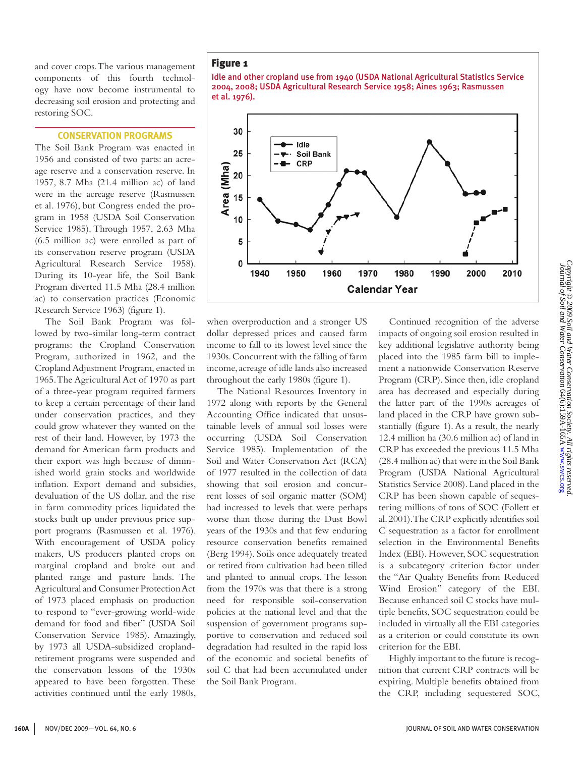and cover crops. The various management components of this fourth technology have now become instrumental to decreasing soil erosion and protecting and restoring SOC.

## **Conservation Programs**

The Soil Bank Program was enacted in 1956 and consisted of two parts: an acreage reserve and a conservation reserve. In 1957, 8.7 Mha (21.4 million ac) of land were in the acreage reserve (Rasmussen et al. 1976), but Congress ended the program in 1958 (USDA Soil Conservation Service 1985). Through 1957, 2.63 Mha (6.5 million ac) were enrolled as part of its conservation reserve program (USDA Agricultural Research Service 1958). During its 10-year life, the Soil Bank Program diverted 11.5 Mha (28.4 million ac) to conservation practices (Economic Research Service 1963) (figure 1).

The Soil Bank Program was followed by two-similar long-term contract programs: the Cropland Conservation Program, authorized in 1962, and the Cropland Adjustment Program, enacted in 1965. The Agricultural Act of 1970 as part of a three-year program required farmers to keep a certain percentage of their land under conservation practices, and they could grow whatever they wanted on the rest of their land. However, by 1973 the demand for American farm products and their export was high because of diminished world grain stocks and worldwide inflation. Export demand and subsidies, devaluation of the US dollar, and the rise in farm commodity prices liquidated the stocks built up under previous price support programs (Rasmussen et al. 1976). With encouragement of USDA policy makers, US producers planted crops on marginal cropland and broke out and planted range and pasture lands. The Agricultural and Consumer Protection Act of 1973 placed emphasis on production to respond to "ever-growing world-wide demand for food and fiber" (USDA Soil Conservation Service 1985). Amazingly, by 1973 all USDA-subsidized croplandretirement programs were suspended and the conservation lessons of the 1930s appeared to have been forgotten. These activities continued until the early 1980s,

# Figure 1





when overproduction and a stronger US dollar depressed prices and caused farm income to fall to its lowest level since the 1930s. Concurrent with the falling of farm income, acreage of idle lands also increased throughout the early 1980s (figure 1).

The National Resources Inventory in 1972 along with reports by the General Accounting Office indicated that unsustainable levels of annual soil losses were occurring (USDA Soil Conservation Service 1985). Implementation of the Soil and Water Conservation Act (RCA) of 1977 resulted in the collection of data showing that soil erosion and concurrent losses of soil organic matter (SOM) had increased to levels that were perhaps worse than those during the Dust Bowl years of the 1930s and that few enduring resource conservation benefits remained (Berg 1994). Soils once adequately treated or retired from cultivation had been tilled and planted to annual crops. The lesson from the 1970s was that there is a strong need for responsible soil-conservation policies at the national level and that the suspension of government programs supportive to conservation and reduced soil degradation had resulted in the rapid loss of the economic and societal benefits of soil C that had been accumulated under the Soil Bank Program.

Continued recognition of the adverse impacts of ongoing soil erosion resulted in key additional legislative authority being placed into the 1985 farm bill to implement a nationwide Conservation Reserve Program (CRP). Since then, idle cropland area has decreased and especially during the latter part of the 1990s acreages of land placed in the CRP have grown substantially (figure 1). As a result, the nearly 12.4 million ha (30.6 million ac) of land in CRP has exceeded the previous 11.5 Mha (28.4 million ac) that were in the Soil Bank Program (USDA National Agricultural Statistics Service 2008). Land placed in the CRP has been shown capable of sequestering millions of tons of SOC (Follett et al. 2001). The CRP explicitly identifies soil C sequestration as a factor for enrollment selection in the Environmental Benefits Index (EBI). However, SOC sequestration is a subcategory criterion factor under the "Air Quality Benefits from Reduced Wind Erosion" category of the EBI. Because enhanced soil C stocks have multiple benefits, SOC sequestration could be included in virtually all the EBI categories as a criterion or could constitute its own criterion for the EBI.

Highly important to the future is recognition that current CRP contracts will be expiring. Multiple benefits obtained from the CRP, including sequestered SOC,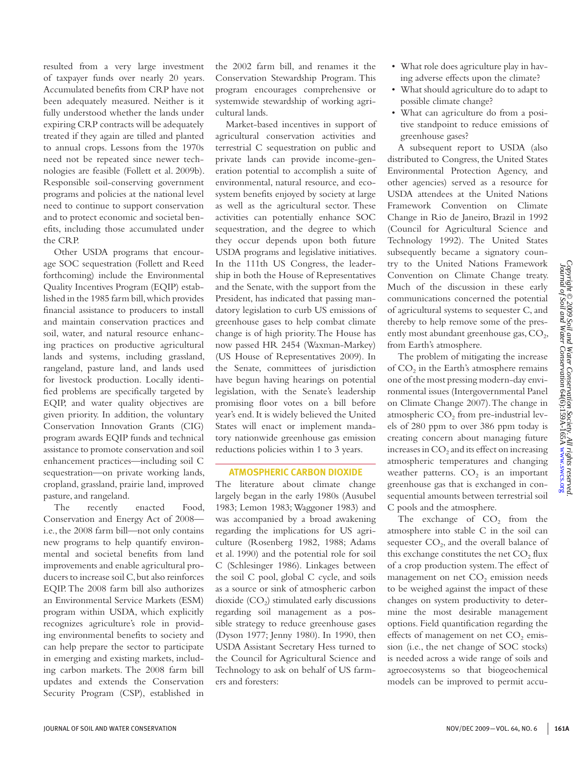resulted from a very large investment of taxpayer funds over nearly 20 years. Accumulated benefits from CRP have not been adequately measured. Neither is it fully understood whether the lands under expiring CRP contracts will be adequately treated if they again are tilled and planted to annual crops. Lessons from the 1970s need not be repeated since newer technologies are feasible (Follett et al. 2009b). Responsible soil-conserving government programs and policies at the national level need to continue to support conservation and to protect economic and societal benefits, including those accumulated under the CRP.

Other USDA programs that encourage SOC sequestration (Follett and Reed forthcoming) include the Environmental Quality Incentives Program (EQIP) established in the 1985 farm bill, which provides financial assistance to producers to install and maintain conservation practices and soil, water, and natural resource enhancing practices on productive agricultural lands and systems, including grassland, rangeland, pasture land, and lands used for livestock production. Locally identified problems are specifically targeted by EQIP, and water quality objectives are given priority. In addition, the voluntary Conservation Innovation Grants (CIG) program awards EQIP funds and technical assistance to promote conservation and soil enhancement practices—including soil C sequestration—on private working lands, cropland, grassland, prairie land, improved pasture, and rangeland.

The recently enacted Food, Conservation and Energy Act of 2008 i.e., the 2008 farm bill—not only contains new programs to help quantify environmental and societal benefits from land improvements and enable agricultural producers to increase soil C, but also reinforces EQIP. The 2008 farm bill also authorizes an Environmental Service Markets (ESM) program within USDA, which explicitly recognizes agriculture's role in providing environmental benefits to society and can help prepare the sector to participate in emerging and existing markets, including carbon markets. The 2008 farm bill updates and extends the Conservation Security Program (CSP), established in

the 2002 farm bill, and renames it the Conservation Stewardship Program. This program encourages comprehensive or systemwide stewardship of working agricultural lands.

Market-based incentives in support of agricultural conservation activities and terrestrial C sequestration on public and private lands can provide income-generation potential to accomplish a suite of environmental, natural resource, and ecosystem benefits enjoyed by society at large as well as the agricultural sector. These activities can potentially enhance SOC sequestration, and the degree to which they occur depends upon both future USDA programs and legislative initiatives. In the 111th US Congress, the leadership in both the House of Representatives and the Senate, with the support from the President, has indicated that passing mandatory legislation to curb US emissions of greenhouse gases to help combat climate change is of high priority. The House has now passed HR 2454 (Waxman-Markey) (US House of Representatives 2009). In the Senate, committees of jurisdiction have begun having hearings on potential legislation, with the Senate's leadership promising floor votes on a bill before year's end. It is widely believed the United States will enact or implement mandatory nationwide greenhouse gas emission reductions policies within 1 to 3 years.

### **Atmospheric Carbon Dioxide**

The literature about climate change largely began in the early 1980s (Ausubel 1983; Lemon 1983; Waggoner 1983) and was accompanied by a broad awakening regarding the implications for US agriculture (Rosenberg 1982, 1988; Adams et al. 1990) and the potential role for soil C (Schlesinger 1986). Linkages between the soil C pool, global C cycle, and soils as a source or sink of atmospheric carbon dioxide  $(CO<sub>2</sub>)$  stimulated early discussions regarding soil management as a possible strategy to reduce greenhouse gases (Dyson 1977; Jenny 1980). In 1990, then USDA Assistant Secretary Hess turned to the Council for Agricultural Science and Technology to ask on behalf of US farmers and foresters:

- What role does agriculture play in having adverse effects upon the climate?
- What should agriculture do to adapt to possible climate change?
- What can agriculture do from a positive standpoint to reduce emissions of greenhouse gases?

A subsequent report to USDA (also distributed to Congress, the United States Environmental Protection Agency, and other agencies) served as a resource for USDA attendees at the United Nations Framework Convention on Climate Change in Rio de Janeiro, Brazil in 1992 (Council for Agricultural Science and Technology 1992). The United States subsequently became a signatory country to the United Nations Framework Convention on Climate Change treaty. Much of the discussion in these early communications concerned the potential of agricultural systems to sequester C, and thereby to help remove some of the presently most abundant greenhouse gas,  $CO<sub>2</sub>$ , from Earth's atmosphere.

The problem of mitigating the increase of  $CO<sub>2</sub>$  in the Earth's atmosphere remains one of the most pressing modern-day environmental issues (Intergovernmental Panel on Climate Change 2007). The change in atmospheric  $CO<sub>2</sub>$  from pre-industrial levels of 280 ppm to over 386 ppm today is creating concern about managing future increases in  $CO<sub>2</sub>$  and its effect on increasing atmospheric temperatures and changing weather patterns.  $CO<sub>2</sub>$  is an important greenhouse gas that is exchanged in consequential amounts between terrestrial soil C pools and the atmosphere.

The exchange of  $CO<sub>2</sub>$  from the atmosphere into stable C in the soil can sequester  $CO<sub>2</sub>$ , and the overall balance of this exchange constitutes the net  $CO<sub>2</sub>$  flux of a crop production system. The effect of management on net  $CO<sub>2</sub>$  emission needs to be weighed against the impact of these changes on system productivity to determine the most desirable management options. Field quantification regarding the effects of management on net  $CO<sub>2</sub>$  emission (i.e., the net change of SOC stocks) is needed across a wide range of soils and agroecosystems so that biogeochemical models can be improved to permit accu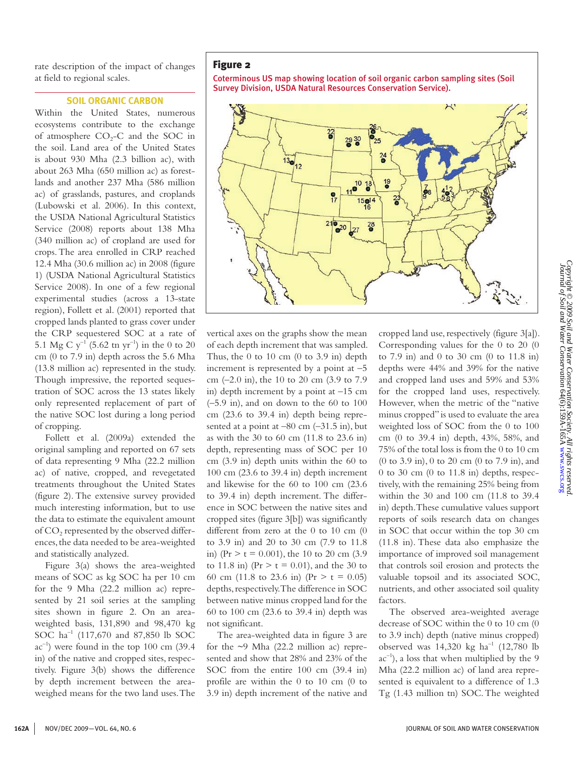rate description of the impact of changes at field to regional scales.

### **Soil Organic Carbon**

Within the United States, numerous ecosystems contribute to the exchange of atmosphere  $CO<sub>2</sub>-C$  and the SOC in the soil. Land area of the United States is about 930 Mha (2.3 billion ac), with about 263 Mha (650 million ac) as forestlands and another 237 Mha (586 million ac) of grasslands, pastures, and croplands (Lubowski et al. 2006). In this context, the USDA National Agricultural Statistics Service (2008) reports about 138 Mha (340 million ac) of cropland are used for crops. The area enrolled in CRP reached 12.4 Mha (30.6 million ac) in 2008 (figure 1) (USDA National Agricultural Statistics Service 2008). In one of a few regional experimental studies (across a 13-state region), Follett et al. (2001) reported that cropped lands planted to grass cover under the CRP sequestered SOC at a rate of 5.1 Mg C  $y^{-1}$  (5.62 tn  $yr^{-1}$ ) in the 0 to 20 cm (0 to 7.9 in) depth across the 5.6 Mha (13.8 million ac) represented in the study. Though impressive, the reported sequestration of SOC across the 13 states likely only represented replacement of part of the native SOC lost during a long period of cropping.

Follett et al. (2009a) extended the original sampling and reported on 67 sets of data representing 9 Mha (22.2 million ac) of native, cropped, and revegetated treatments throughout the United States (figure 2). The extensive survey provided much interesting information, but to use the data to estimate the equivalent amount of CO<sub>2</sub> represented by the observed differences, the data needed to be area-weighted and statistically analyzed.

Figure 3(a) shows the area-weighted means of SOC as kg SOC ha per 10 cm for the 9 Mha (22.2 million ac) represented by 21 soil series at the sampling sites shown in figure 2. On an areaweighted basis, 131,890 and 98,470 kg SOC ha<sup>-1</sup> (117,670 and 87,850 lb SOC  $ac^{-1}$ ) were found in the top 100 cm (39.4) in) of the native and cropped sites, respectively. Figure 3(b) shows the difference by depth increment between the areaweighed means for the two land uses. The

## Figure 2

Coterminous US map showing location of soil organic carbon sampling sites (Soil Survey Division, USDA Natural Resources Conservation Service).



vertical axes on the graphs show the mean of each depth increment that was sampled. Thus, the  $0$  to  $10$  cm  $(0$  to  $3.9$  in) depth increment is represented by a point at  $-5$ cm (–2.0 in), the 10 to 20 cm (3.9 to 7.9 in) depth increment by a point at  $-15$  cm  $(-5.9 \text{ in})$ , and on down to the 60 to 100 cm (23.6 to 39.4 in) depth being represented at a point at  $-80$  cm  $(-31.5 \text{ in})$ , but as with the 30 to 60 cm (11.8 to 23.6 in) depth, representing mass of SOC per 10 cm (3.9 in) depth units within the 60 to 100 cm (23.6 to 39.4 in) depth increment and likewise for the 60 to 100 cm (23.6 to 39.4 in) depth increment. The difference in SOC between the native sites and cropped sites (figure 3[b]) was significantly different from zero at the 0 to 10 cm (0 to 3.9 in) and 20 to 30 cm (7.9 to 11.8 in) (Pr  $> t = 0.001$ ), the 10 to 20 cm (3.9) to 11.8 in) ( $Pr > t = 0.01$ ), and the 30 to 60 cm (11.8 to 23.6 in) (Pr  $> t = 0.05$ ) depths, respectively. The difference in SOC between native minus cropped land for the 60 to 100 cm (23.6 to 39.4 in) depth was not significant.

The area-weighted data in figure 3 are for the  $\sim$ 9 Mha (22.2 million ac) represented and show that 28% and 23% of the SOC from the entire 100 cm (39.4 in) profile are within the 0 to 10 cm (0 to 3.9 in) depth increment of the native and cropped land use, respectively (figure 3[a]). Corresponding values for the 0 to 20 (0 to 7.9 in) and 0 to 30 cm (0 to 11.8 in) depths were 44% and 39% for the native and cropped land uses and 59% and 53% for the cropped land uses, respectively. However, when the metric of the "native minus cropped" is used to evaluate the area weighted loss of SOC from the 0 to 100 cm (0 to 39.4 in) depth, 43%, 58%, and 75% of the total loss is from the 0 to 10 cm (0 to 3.9 in), 0 to 20 cm (0 to 7.9 in), and 0 to 30 cm (0 to 11.8 in) depths, respectively, with the remaining 25% being from within the 30 and 100 cm (11.8 to 39.4 in) depth. These cumulative values support reports of soils research data on changes in SOC that occur within the top 30 cm (11.8 in). These data also emphasize the importance of improved soil management that controls soil erosion and protects the valuable topsoil and its associated SOC, nutrients, and other associated soil quality factors.

The observed area-weighted average decrease of SOC within the 0 to 10 cm (0 to 3.9 inch) depth (native minus cropped) observed was  $14,320 \text{ kg } \text{ha}^{-1}$  (12,780 lb)  $ac^{-1}$ ), a loss that when multiplied by the 9 Mha (22.2 million ac) of land area represented is equivalent to a difference of 1.3 Tg (1.43 million tn) SOC. The weighted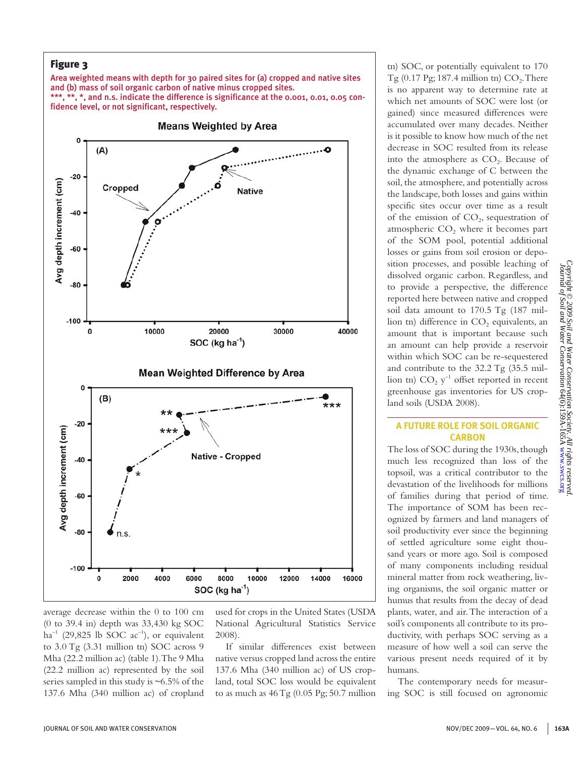

average decrease within the 0 to 100 cm (0 to 39.4 in) depth was 33,430 kg SOC ha<sup>-1</sup> (29,825 lb SOC ac<sup>-1</sup>), or equivalent to 3.0 Tg (3.31 million tn) SOC across 9 Mha (22.2 million ac) (table 1). The 9 Mha (22.2 million ac) represented by the soil series sampled in this study is ~6.5% of the 137.6 Mha (340 million ac) of cropland used for crops in the United States (USDA National Agricultural Statistics Service 2008).

If similar differences exist between native versus cropped land across the entire 137.6 Mha (340 million ac) of US cropland, total SOC loss would be equivalent to as much as  $46 \text{ Tg}$  (0.05 Pg; 50.7 million

tn) SOC, or potentially equivalent to 170 Tg  $(0.17 \text{Pg}; 187.4 \text{ million} \text{tn}) \text{CO}_2$ . There is no apparent way to determine rate at which net amounts of SOC were lost (or gained) since measured differences were accumulated over many decades. Neither is it possible to know how much of the net decrease in SOC resulted from its release into the atmosphere as  $CO<sub>2</sub>$ . Because of the dynamic exchange of C between the soil, the atmosphere, and potentially across the landscape, both losses and gains within specific sites occur over time as a result of the emission of  $CO<sub>2</sub>$ , sequestration of atmospheric  $CO<sub>2</sub>$  where it becomes part of the SOM pool, potential additional losses or gains from soil erosion or deposition processes, and possible leaching of dissolved organic carbon. Regardless, and to provide a perspective, the difference reported here between native and cropped soil data amount to 170.5 Tg (187 million tn) difference in  $CO<sub>2</sub>$  equivalents, an amount that is important because such an amount can help provide a reservoir within which SOC can be re-sequestered and contribute to the 32.2 Tg (35.5 million tn)  $CO_2$  y<sup>-1</sup> offset reported in recent greenhouse gas inventories for US cropland soils (USDA 2008).

# **A Future Role for Soil Organic Carbon**

The loss of SOC during the 1930s, though much less recognized than loss of the topsoil, was a critical contributor to the devastation of the livelihoods for millions of families during that period of time. The importance of SOM has been recognized by farmers and land managers of soil productivity ever since the beginning of settled agriculture some eight thousand years or more ago. Soil is composed of many components including residual mineral matter from rock weathering, living organisms, the soil organic matter or humus that results from the decay of dead plants, water, and air. The interaction of a soil's components all contribute to its productivity, with perhaps SOC serving as a measure of how well a soil can serve the various present needs required of it by humans.

The contemporary needs for measuring SOC is still focused on agronomic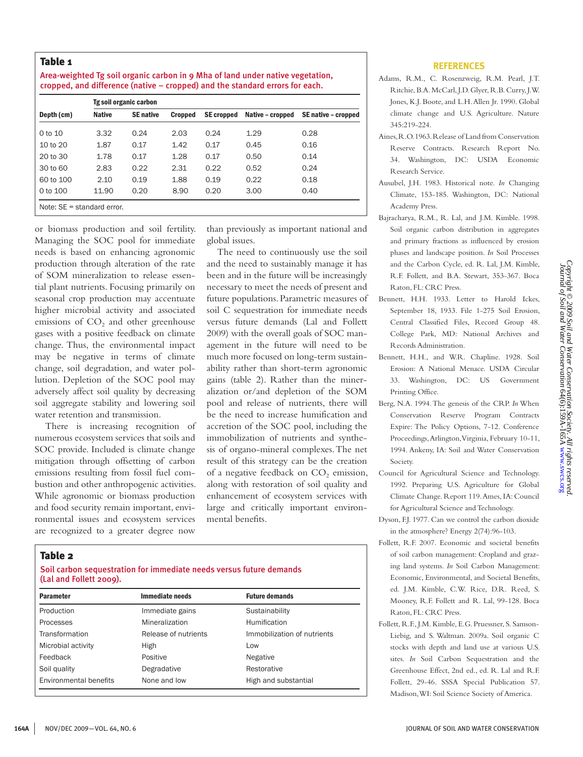# Table 1

| Area-weighted Tg soil organic carbon in 9 Mha of land under native vegetation, |
|--------------------------------------------------------------------------------|
| cropped, and difference (native – cropped) and the standard errors for each.   |
|                                                                                |

|                               | Tg soil organic carbon |                  |                |                   |                  |                     |
|-------------------------------|------------------------|------------------|----------------|-------------------|------------------|---------------------|
| Depth (cm)                    | <b>Native</b>          | <b>SE</b> native | <b>Cropped</b> | <b>SE</b> cropped | Native - cropped | SE native - cropped |
| 0 to 10                       | 3.32                   | 0.24             | 2.03           | 0.24              | 1.29             | 0.28                |
| 10 to 20                      | 1.87                   | 0.17             | 1.42           | 0.17              | 0.45             | 0.16                |
| 20 to 30                      | 1.78                   | 0.17             | 1.28           | 0.17              | 0.50             | 0.14                |
| 30 to 60                      | 2.83                   | 0.22             | 2.31           | 0.22              | 0.52             | 0.24                |
| 60 to 100                     | 2.10                   | 0.19             | 1.88           | 0.19              | 0.22             | 0.18                |
| 0 to 100                      | 11.90                  | 0.20             | 8.90           | 0.20              | 3.00             | 0.40                |
| Note: $SE = standard error$ . |                        |                  |                |                   |                  |                     |

or biomass production and soil fertility. Managing the SOC pool for immediate needs is based on enhancing agronomic production through alteration of the rate of SOM mineralization to release essential plant nutrients. Focusing primarily on seasonal crop production may accentuate higher microbial activity and associated emissions of  $CO<sub>2</sub>$  and other greenhouse gases with a positive feedback on climate change. Thus, the environmental impact may be negative in terms of climate change, soil degradation, and water pollution. Depletion of the SOC pool may adversely affect soil quality by decreasing soil aggregate stability and lowering soil water retention and transmission.

There is increasing recognition of numerous ecosystem services that soils and SOC provide. Included is climate change mitigation through offsetting of carbon emissions resulting from fossil fuel combustion and other anthropogenic activities. While agronomic or biomass production and food security remain important, environmental issues and ecosystem services are recognized to a greater degree now

than previously as important national and global issues.

The need to continuously use the soil and the need to sustainably manage it has been and in the future will be increasingly necessary to meet the needs of present and future populations. Parametric measures of soil C sequestration for immediate needs versus future demands (Lal and Follett 2009) with the overall goals of SOC management in the future will need to be much more focused on long-term sustainability rather than short-term agronomic gains (table 2). Rather than the mineralization or/and depletion of the SOM pool and release of nutrients, there will be the need to increase humification and accretion of the SOC pool, including the immobilization of nutrients and synthesis of organo-mineral complexes. The net result of this strategy can be the creation of a negative feedback on  $CO<sub>2</sub>$  emission, along with restoration of soil quality and enhancement of ecosystem services with large and critically important environmental benefits.

# Table 2

#### Soil carbon sequestration for immediate needs versus future demands (Lal and Follett 2009).

| <b>Parameter</b>       | Immediate needs      | <b>Future demands</b>       |
|------------------------|----------------------|-----------------------------|
| Production             | Immediate gains      | Sustainability              |
| Processes              | Mineralization       | Humification                |
| Transformation         | Release of nutrients | Immobilization of nutrients |
| Microbial activity     | High                 | Low                         |
| Feedback               | Positive             | Negative                    |
| Soil quality           | Degradative          | Restorative                 |
| Environmental benefits | None and low         | High and substantial        |

#### **References**

- Adams, R.M., C. Rosenzweig, R.M. Pearl, J.T. Ritchie, B.A. McCarl, J.D. Glyer, R.B. Curry, J.W. Jones, K.J. Boote, and L.H. Allen Jr. 1990. Global climate change and U.S. Agriculture. Nature 345:219-224.
- Aines, R.O. 1963. Release of Land from Conservation Reserve Contracts. Research Report No. 34. Washington, DC: USDA Economic Research Service.
- Ausubel, J.H. 1983. Historical note. *In* Changing Climate, 153-185. Washington, DC: National Academy Press.
- Bajracharya, R.M., R. Lal, and J.M. Kimble. 1998. Soil organic carbon distribution in aggregates and primary fractions as influenced by erosion phases and landscape position. *In* Soil Processes and the Carbon Cycle, ed. R. Lal, J.M. Kimble, R.F. Follett, and B.A. Stewart, 353-367. Boca Raton, FL: CRC Press.
- Bennett, H.H. 1933. Letter to Harold Ickes, September 18, 1933. File 1-275 Soil Erosion, Central Classified Files, Record Group 48. College Park, MD: National Archives and Records Administration.
- Bennett, H.H., and W.R. Chapline. 1928. Soil Erosion: A National Menace. USDA Circular 33. Washington, DC: US Government Printing Office.
- Berg, N.A. 1994. The genesis of the CRP. *In* When Conservation Reserve Program Contracts Expire: The Policy Options, 7-12. Conference Proceedings, Arlington, Virginia, February 10-11, 1994. Ankeny, IA: Soil and Water Conservation Society.
- Council for Agricultural Science and Technology. 1992. Preparing U.S. Agriculture for Global Climate Change. Report 119. Ames, IA: Council for Agricultural Science and Technology.
- Dyson, F.J. 1977. Can we control the carbon dioxide in the atmosphere? Energy 2(74):96-103.
- Follett, R.F. 2007. Economic and societal benefits of soil carbon management: Cropland and grazing land systems. *In* Soil Carbon Management: Economic, Environmental, and Societal Benefits, ed. J.M. Kimble, C.W. Rice, D.R. Reed, S. Mooney, R.F. Follett and R. Lal, 99-128. Boca Raton, FL: CRC Press.
- Follett, R.F., J.M. Kimble, E.G. Pruessner, S. Samson-Liebig, and S. Waltman. 2009a. Soil organic C stocks with depth and land use at various U.S. sites. *In* Soil Carbon Sequestration and the Greenhouse Effect, 2nd ed., ed. R. Lal and R.F. Follett, 29-46. SSSA Special Publication 57. Madison, WI: Soil Science Society of America.